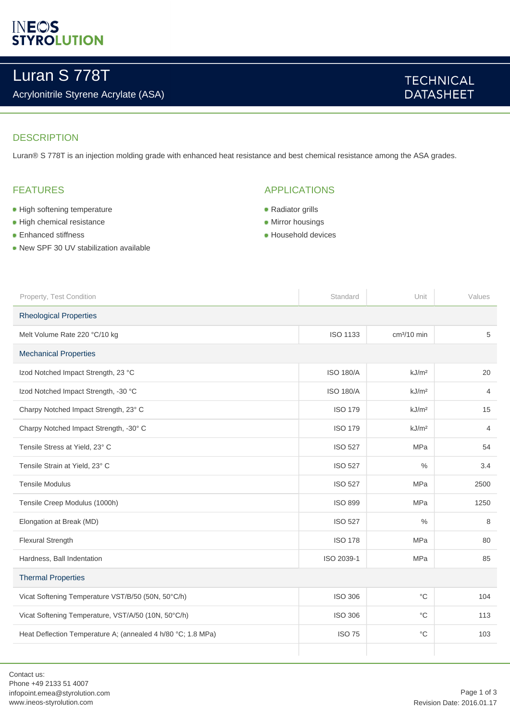# **INEOS**<br>STYROLUTION

# Luran S 778T

## Acrylonitrile Styrene Acrylate (ASA)

# **TECHNICAL DATASHEET**

#### **DESCRIPTION**

Luran® S 778T is an injection molding grade with enhanced heat resistance and best chemical resistance among the ASA grades.

### FEATURES

- **High softening temperature**
- **High chemical resistance**
- Enhanced stiffness
- New SPF 30 UV stabilization available

### APPLICATIONS

- Radiator grills
- **Mirror housings**
- **Household devices**

| Property, Test Condition                                     | Standard         | Unit              | Values         |  |
|--------------------------------------------------------------|------------------|-------------------|----------------|--|
| <b>Rheological Properties</b>                                |                  |                   |                |  |
| Melt Volume Rate 220 °C/10 kg                                | <b>ISO 1133</b>  | $cm3/10$ min      | 5              |  |
| <b>Mechanical Properties</b>                                 |                  |                   |                |  |
| Izod Notched Impact Strength, 23 °C                          | <b>ISO 180/A</b> | kJ/m <sup>2</sup> | 20             |  |
| Izod Notched Impact Strength, -30 °C                         | <b>ISO 180/A</b> | kJ/m <sup>2</sup> | 4              |  |
| Charpy Notched Impact Strength, 23° C                        | <b>ISO 179</b>   | kJ/m <sup>2</sup> | 15             |  |
| Charpy Notched Impact Strength, -30° C                       | <b>ISO 179</b>   | kJ/m <sup>2</sup> | $\overline{4}$ |  |
| Tensile Stress at Yield, 23° C                               | <b>ISO 527</b>   | <b>MPa</b>        | 54             |  |
| Tensile Strain at Yield, 23° C                               | <b>ISO 527</b>   | $\%$              | 3.4            |  |
| <b>Tensile Modulus</b>                                       | <b>ISO 527</b>   | <b>MPa</b>        | 2500           |  |
| Tensile Creep Modulus (1000h)                                | <b>ISO 899</b>   | MPa               | 1250           |  |
| Elongation at Break (MD)                                     | <b>ISO 527</b>   | $\%$              | 8              |  |
| <b>Flexural Strength</b>                                     | <b>ISO 178</b>   | <b>MPa</b>        | 80             |  |
| Hardness, Ball Indentation                                   | ISO 2039-1       | MPa               | 85             |  |
| <b>Thermal Properties</b>                                    |                  |                   |                |  |
| Vicat Softening Temperature VST/B/50 (50N, 50°C/h)           | <b>ISO 306</b>   | $^{\circ}C$       | 104            |  |
| Vicat Softening Temperature, VST/A/50 (10N, 50°C/h)          | <b>ISO 306</b>   | °C                | 113            |  |
| Heat Deflection Temperature A; (annealed 4 h/80 °C; 1.8 MPa) | <b>ISO 75</b>    | $^{\circ}$ C      | 103            |  |
|                                                              |                  |                   |                |  |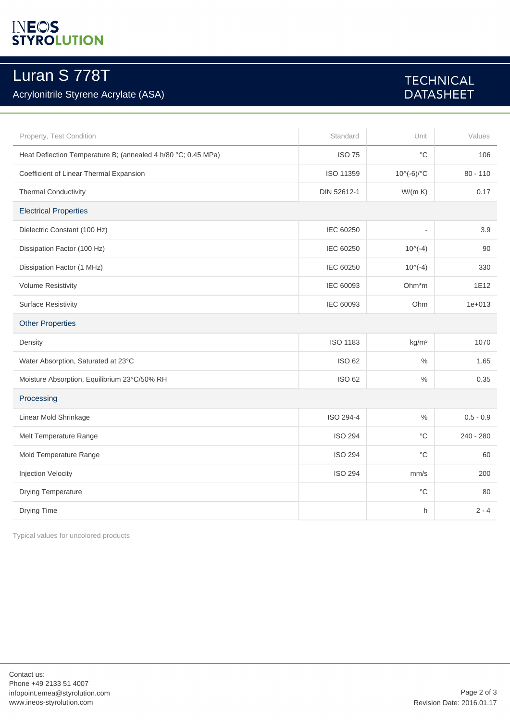# **INEOS**<br>STYROLUTION

# Luran S 778T

## Acrylonitrile Styrene Acrylate (ASA)

# **TECHNICAL DATASHEET**

| Property, Test Condition                                      | Standard        | Unit              | Values      |  |
|---------------------------------------------------------------|-----------------|-------------------|-------------|--|
| Heat Deflection Temperature B; (annealed 4 h/80 °C; 0.45 MPa) | <b>ISO 75</b>   | $^{\circ}C$       | 106         |  |
| Coefficient of Linear Thermal Expansion                       | ISO 11359       | 10^(-6)/°C        | $80 - 110$  |  |
| <b>Thermal Conductivity</b>                                   | DIN 52612-1     | W/(m K)           | 0.17        |  |
| <b>Electrical Properties</b>                                  |                 |                   |             |  |
| Dielectric Constant (100 Hz)                                  | IEC 60250       | $\overline{a}$    | 3.9         |  |
| Dissipation Factor (100 Hz)                                   | IEC 60250       | $10^(-4)$         | 90          |  |
| Dissipation Factor (1 MHz)                                    | IEC 60250       | $10^(-4)$         | 330         |  |
| <b>Volume Resistivity</b>                                     | IEC 60093       | Ohm*m             | 1E12        |  |
| <b>Surface Resistivity</b>                                    | IEC 60093       | Ohm               | $1e + 013$  |  |
| <b>Other Properties</b>                                       |                 |                   |             |  |
| Density                                                       | <b>ISO 1183</b> | kg/m <sup>3</sup> | 1070        |  |
| Water Absorption, Saturated at 23°C                           | ISO 62          | $\%$              | 1.65        |  |
| Moisture Absorption, Equilibrium 23°C/50% RH                  | ISO 62          | $\frac{0}{0}$     | 0.35        |  |
| Processing                                                    |                 |                   |             |  |
| Linear Mold Shrinkage                                         | ISO 294-4       | $\%$              | $0.5 - 0.9$ |  |
| Melt Temperature Range                                        | <b>ISO 294</b>  | $^{\circ}$ C      | $240 - 280$ |  |
| Mold Temperature Range                                        | <b>ISO 294</b>  | $^{\circ}C$       | 60          |  |
| <b>Injection Velocity</b>                                     | <b>ISO 294</b>  | mm/s              | 200         |  |
| Drying Temperature                                            |                 | $^{\circ}C$       | 80          |  |
| Drying Time                                                   |                 | h                 | $2 - 4$     |  |

Typical values for uncolored products